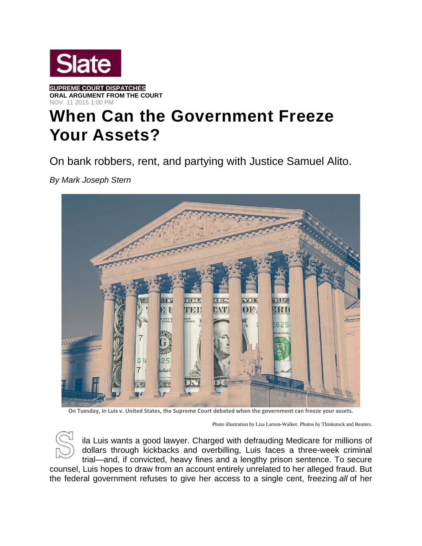

**SUPREME COURT DISPATCHES ORAL ARGUMENT FROM THE COURT**  NOV. 11 2015 1:00 PM

## **When Can the Government Freeze Your Assets?**

On bank robbers, rent, and partying with Justice Samuel Alito.

*By Mark Joseph Stern* 



On Tuesday, in Luis v. United States, the Supreme Court debated when the government can freeze your assets.

Photo illustration by Lisa Larson-Walker. Photos by Thinkstock and Reuters.



ila Luis wants a good lawyer. Charged with defrauding Medicare for millions of dollars through kickbacks and overbilling, Luis faces a three-week criminal trial—and, if convicted, heavy fines and a lengthy prison sentence. To secure

counsel, Luis hopes to draw from an account entirely unrelated to her alleged fraud. But the federal government refuses to give her access to a single cent, freezing *all* of her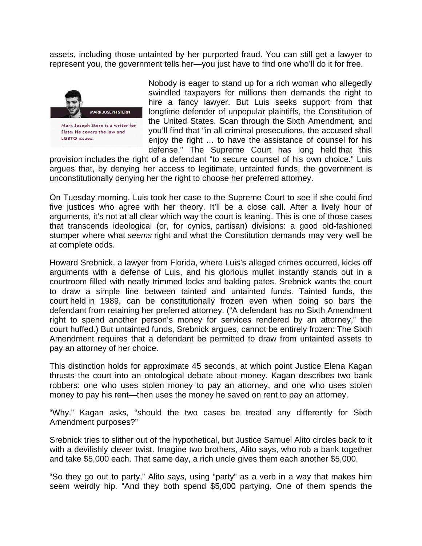assets, including those untainted by her purported fraud. You can still get a lawyer to represent you, the government tells her—you just have to find one who'll do it for free.



Nobody is eager to stand up for a rich woman who allegedly swindled taxpayers for millions then demands the right to hire a fancy lawyer. But Luis seeks support from that longtime defender of unpopular plaintiffs, the Constitution of the United States. Scan through the Sixth Amendment, and you'll find that "in all criminal prosecutions, the accused shall enjoy the right … to have the assistance of counsel for his defense." The Supreme Court has long held that this

provision includes the right of a defendant "to secure counsel of his own choice." Luis argues that, by denying her access to legitimate, untainted funds, the government is unconstitutionally denying her the right to choose her preferred attorney.

On Tuesday morning, Luis took her case to the Supreme Court to see if she could find five justices who agree with her theory. It'll be a close call. After a lively hour of arguments, it's not at all clear which way the court is leaning. This is one of those cases that transcends ideological (or, for cynics, partisan) divisions: a good old-fashioned stumper where what *seems* right and what the Constitution demands may very well be at complete odds.

Howard Srebnick, a lawyer from Florida, where Luis's alleged crimes occurred, kicks off arguments with a defense of Luis, and his glorious mullet instantly stands out in a courtroom filled with neatly trimmed locks and balding pates. Srebnick wants the court to draw a simple line between tainted and untainted funds. Tainted funds, the court held in 1989, can be constitutionally frozen even when doing so bars the defendant from retaining her preferred attorney. ("A defendant has no Sixth Amendment right to spend another person's money for services rendered by an attorney," the court huffed.) But untainted funds, Srebnick argues, cannot be entirely frozen: The Sixth Amendment requires that a defendant be permitted to draw from untainted assets to pay an attorney of her choice.

This distinction holds for approximate 45 seconds, at which point Justice Elena Kagan thrusts the court into an ontological debate about money. Kagan describes two bank robbers: one who uses stolen money to pay an attorney, and one who uses stolen money to pay his rent—then uses the money he saved on rent to pay an attorney.

"Why," Kagan asks, "should the two cases be treated any differently for Sixth Amendment purposes?"

Srebnick tries to slither out of the hypothetical, but Justice Samuel Alito circles back to it with a devilishly clever twist. Imagine two brothers, Alito says, who rob a bank together and take \$5,000 each. That same day, a rich uncle gives them each another \$5,000.

"So they go out to party," Alito says, using "party" as a verb in a way that makes him seem weirdly hip. "And they both spend \$5,000 partying. One of them spends the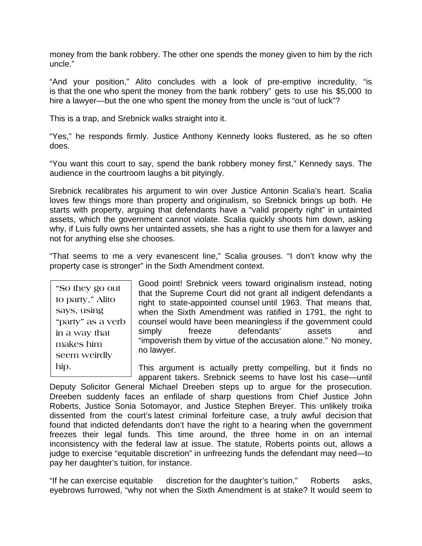money from the bank robbery. The other one spends the money given to him by the rich uncle."

"And your position," Alito concludes with a look of pre-emptive incredulity, "is is that the one who spent the money from the bank robbery" gets to use his \$5,000 to hire a lawyer—but the one who spent the money from the uncle is "out of luck"?

This is a trap, and Srebnick walks straight into it.

"Yes," he responds firmly. Justice Anthony Kennedy looks flustered, as he so often does.

"You want this court to say, spend the bank robbery money first," Kennedy says. The audience in the courtroom laughs a bit pityingly.

Srebnick recalibrates his argument to win over Justice Antonin Scalia's heart. Scalia loves few things more than property and originalism, so Srebnick brings up both. He starts with property, arguing that defendants have a "valid property right" in untainted assets, which the government cannot violate. Scalia quickly shoots him down, asking why, if Luis fully owns her untainted assets, she has a right to use them for a lawyer and not for anything else she chooses.

"That seems to me a very evanescent line," Scalia grouses. "I don't know why the property case is stronger" in the Sixth Amendment context.

**"So they go out to party," Alito says, using "party" as a verb in a way that makes him seem weirdly hip.** 

Good point! Srebnick veers toward originalism instead, noting that the Supreme Court did not grant all indigent defendants a right to state-appointed counsel until 1963. That means that, when the Sixth Amendment was ratified in 1791, the right to counsel would have been meaningless if the government could simply freeze defendants' assets and "impoverish them by virtue of the accusation alone." No money, no lawyer.

This argument is actually pretty compelling, but it finds no apparent takers. Srebnick seems to have lost his case—until

Deputy Solicitor General Michael Dreeben steps up to argue for the prosecution. Dreeben suddenly faces an enfilade of sharp questions from Chief Justice John Roberts, Justice Sonia Sotomayor, and Justice Stephen Breyer. This unlikely troika dissented from the court's latest criminal forfeiture case, a truly awful decision that found that indicted defendants don't have the right to a hearing when the government freezes their legal funds. This time around, the three home in on an internal inconsistency with the federal law at issue. The statute, Roberts points out, allows a judge to exercise "equitable discretion" in unfreezing funds the defendant may need—to pay her daughter's tuition, for instance.

"If he can exercise equitable discretion for the daughter's tuition," Roberts asks, eyebrows furrowed, "why not when the Sixth Amendment is at stake? It would seem to